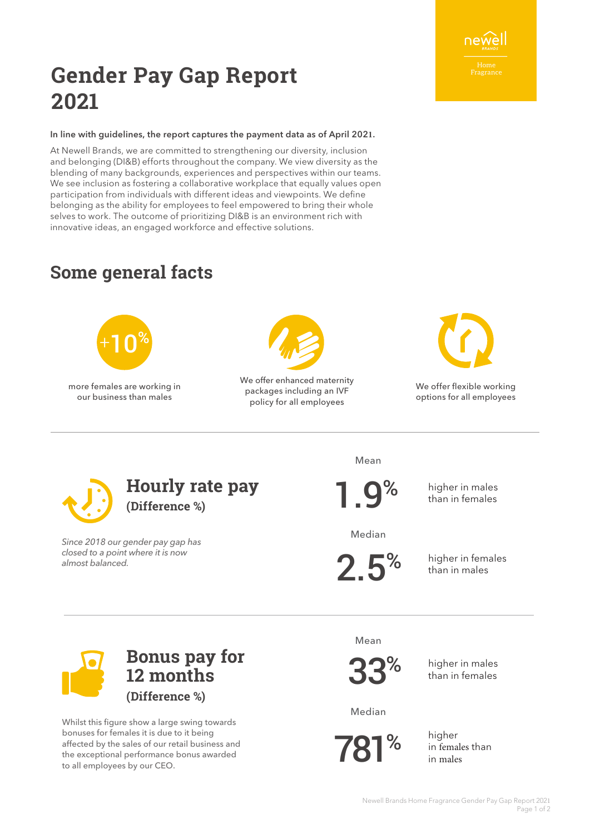#### Newell Brands Home Fragrance Gender Pay Gap Report 2021 Page 1 of 2

# **Gender Pay Gap Report 2021**

#### In line with guidelines, the report captures the payment data as of April 202**1**.

At Newell Brands, we are committed to strengthening our diversity, inclusion and belonging (DI&B) efforts throughout the company. We view diversity as the blending of many backgrounds, experiences and perspectives within our teams. We see inclusion as fostering a collaborative workplace that equally values open participation from individuals with different ideas and viewpoints. We define belonging as the ability for employees to feel empowered to bring their whole selves to work. The outcome of prioritizing DI&B is an environment rich with innovative ideas, an engaged workforce and effective solutions.

## **Some general facts**



more females are working in our business than males



We offer enhanced maternity packages including an IVF policy for all employees



We offer flexible working options for all employees



Since 2018 our gender pay gap has closed to a point where it is now almost balanced.

Mean

1.9%

higher in males than in females

Median

 $2.5<sup>%</sup>$ 

higher in females than in males

Whilst this figure show a large swing towards bonuses for females it is due to it being affected by the sales of our retail business and the exceptional performance bonus awarded to all employees by our CEO.

**Bonus pay for** 

**12 months** 

**(Difference %)**

Mean

33%

higher in males than in females

Median

781%

higher in females than in males